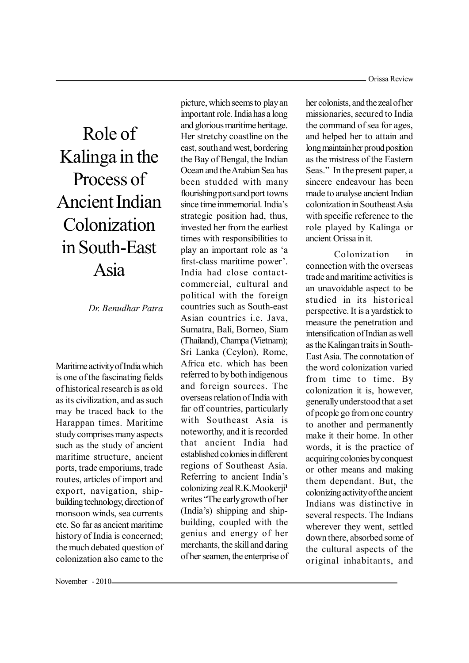# Role of Kalinga in the Process of Ancient Indian Colonization in South-East Asia

*Dr. Benudhar Patra*

Maritime activity of India which is one of the fascinating fields of historical research is as old as its civilization, and as such may be traced back to the Harappan times. Maritime study comprises many aspects such as the study of ancient maritime structure, ancient ports, trade emporiums, trade routes, articles of import and export, navigation, shipbuilding technology, direction of monsoon winds, sea currents etc. So far as ancient maritime history of India is concerned; the much debated question of colonization also came to the

picture, which seems to play an important role. India has a long and glorious maritime heritage. Her stretchy coastline on the east, south and west, bordering the Bay of Bengal, the Indian Ocean and the Arabian Sea has been studded with many flourishing ports and port towns since time immemorial. India's strategic position had, thus, invested her from the earliest times with responsibilities to play an important role as 'a first-class maritime power'. India had close contactcommercial, cultural and political with the foreign countries such as South-east Asian countries i.e. Java, Sumatra, Bali, Borneo, Siam (Thailand), Champa (Vietnam); Sri Lanka (Ceylon), Rome, Africa etc. which has been referred to by both indigenous and foreign sources. The overseas relation of India with far off countries, particularly with Southeast Asia is noteworthy, and it is recorded that ancient India had established colonies in different regions of Southeast Asia. Referring to ancient India's colonizing zeal R.K.Mookerji**<sup>1</sup>** writes "The early growth of her (India's) shipping and shipbuilding, coupled with the genius and energy of her merchants, the skill and daring of her seamen, the enterprise of

her colonists, and the zeal of her missionaries, secured to India the command of sea for ages, and helped her to attain and long maintain her proud position as the mistress of the Eastern Seas." In the present paper, a sincere endeavour has been made to analyse ancient Indian colonization in Southeast Asia with specific reference to the role played by Kalinga or ancient Orissa in it.

Colonization in connection with the overseas trade and maritime activities is an unavoidable aspect to be studied in its historical perspective. It is a yardstick to measure the penetration and intensification of Indian as well as the Kalingan traits in South-East Asia. The connotation of the word colonization varied from time to time. By colonization it is, however, generally understood that a set of people go from one country to another and permanently make it their home. In other words, it is the practice of acquiring colonies by conquest or other means and making them dependant. But, the colonizing activity of the ancient Indians was distinctive in several respects. The Indians wherever they went, settled down there, absorbed some of the cultural aspects of the original inhabitants, and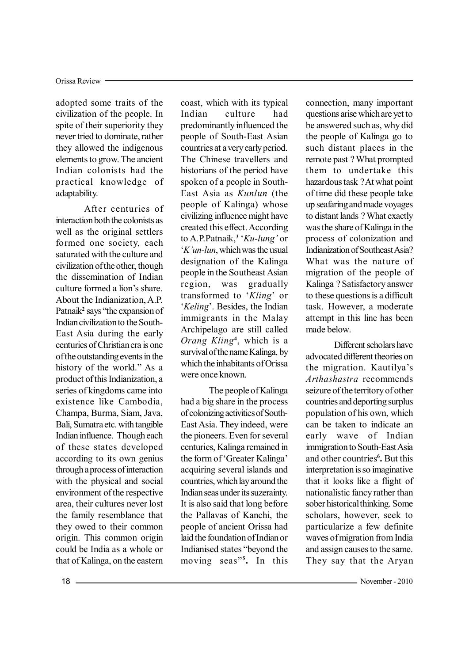adopted some traits of the civilization of the people. In spite of their superiority they never tried to dominate, rather they allowed the indigenous elements to grow. The ancient Indian colonists had the practical knowledge of adaptability.

After centuries of interaction both the colonists as well as the original settlers formed one society, each saturated with the culture and civilization of the other, though the dissemination of Indian culture formed a lion's share. About the Indianization, A.P. Patnaik<sup>2</sup> says "the expansion of Indian civilization to the South-East Asia during the early centuries of Christian era is one of the outstanding events in the history of the world." As a product of this Indianization, a series of kingdoms came into existence like Cambodia, Champa, Burma, Siam, Java, Bali, Sumatra etc. with tangible Indian influence. Though each of these states developed according to its own genius through a process of interaction with the physical and social environment of the respective area, their cultures never lost the family resemblance that they owed to their common origin. This common origin could be India as a whole or that of Kalinga, on the eastern

coast, which with its typical Indian culture had predominantly influenced the people of South-East Asian countries at a very early period. The Chinese travellers and historians of the period have spoken of a people in South-East Asia as *Kunlun* (the people of Kalinga) whose civilizing influence might have created this effect. According to A.P.Patnaik,<sup>3</sup> '*Ku-lung*' or µ*.¶un-lun*, which was the usual designation of the Kalinga people in the Southeast Asian region, was gradually transformed to 'Kling' or *'Keling'*. Besides, the Indian immigrants in the Malay Archipelago are still called *Orang Kling***<sup>4</sup>** , which is a survival of the name Kalinga, by which the inhabitants of Orissa were once known.

The people of Kalinga had a big share in the process of colonizing activities of South-East Asia. They indeed, were the pioneers. Even for several centuries, Kalinga remained in the form of 'Greater Kalinga' acquiring several islands and countries, which lay around the Indian seas under its suzerainty. It is also said that long before the Pallavas of Kanchi, the people of ancient Orissa had laid the foundation of Indian or Indianised states "beyond the moving seas"<sup>5</sup>. In this

connection, many important questions arise which are yet to be answered such as, why did the people of Kalinga go to such distant places in the remote past ? What prompted them to undertake this hazardous task ? At what point of time did these people take up seafaring and made voyages to distant lands ? What exactly was the share of Kalinga in the process of colonization and Indianization of Southeast Asia? What was the nature of migration of the people of Kalinga ? Satisfactory answer to these questions is a difficult task. However, a moderate attempt in this line has been made below.

Different scholars have advocated different theories on the migration. Kautilya's *Arthashastra* recommends seizure of the territory of other countries and deporting surplus population of his own, which can be taken to indicate an early wave of Indian immigration to South-East Asia and other countries**<sup>6</sup> .** But this interpretation is so imaginative that it looks like a flight of nationalistic fancy rather than sober historical thinking. Some scholars, however, seek to particularize a few definite waves of migration from India and assign causes to the same. They say that the Aryan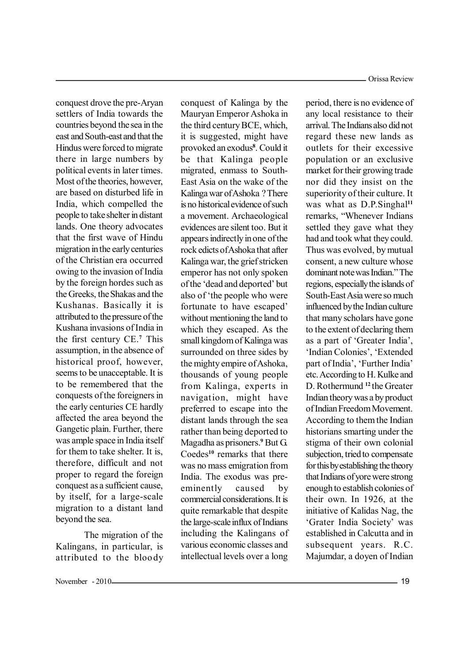conquest drove the pre-Aryan settlers of India towards the countries beyond the sea in the east and South-east and that the Hindus were forced to migrate there in large numbers by political events in later times. Most of the theories, however, are based on disturbed life in India, which compelled the people to take shelter in distant lands. One theory advocates that the first wave of Hindu migration in the early centuries of the Christian era occurred owing to the invasion of India by the foreign hordes such as the Greeks, the Shakas and the Kushanas. Basically it is attributed to the pressure of the Kushana invasions of India in the first century CE.**<sup>7</sup>** This assumption, in the absence of historical proof, however, seems to be unacceptable. It is to be remembered that the conquests of the foreigners in the early centuries CE hardly affected the area beyond the Gangetic plain. Further, there was ample space in India itself for them to take shelter. It is, therefore, difficult and not proper to regard the foreign conquest as a sufficient cause, by itself, for a large-scale migration to a distant land beyond the sea.

The migration of the Kalingans, in particular, is attributed to the bloody conquest of Kalinga by the Mauryan Emperor Ashoka in the third century BCE, which, it is suggested, might have provoked an exodus**<sup>8</sup>** . Could it be that Kalinga people migrated, enmass to South-East Asia on the wake of the Kalinga war of Ashoka ? There is no historical evidence of such a movement. Archaeological evidences are silent too. But it appears indirectly in one of the rock edicts of Ashoka that after Kalinga war, the grief stricken emperor has not only spoken of the 'dead and deported' but also of 'the people who were fortunate to have escaped' without mentioning the land to which they escaped. As the small kingdom of Kalinga was surrounded on three sides by the mighty empire of Ashoka, thousands of young people from Kalinga, experts in navigation, might have preferred to escape into the distant lands through the sea rather than being deported to Magadha as prisoners.**<sup>9</sup>** But G. Coedes**<sup>10</sup>** remarks that there was no mass emigration from India. The exodus was preeminently caused by commercial considerations. It is quite remarkable that despite the large-scale influx of Indians including the Kalingans of various economic classes and intellectual levels over a long

period, there is no evidence of any local resistance to their arrival. The Indians also did not regard these new lands as outlets for their excessive population or an exclusive market for their growing trade nor did they insist on the superiority of their culture. It was what as D.P.Singhal**<sup>11</sup>** remarks, "Whenever Indians settled they gave what they had and took what they could. Thus was evolved, by mutual consent, a new culture whose dominant note was Indian.<sup>"</sup> The regions, especially the islands of South-East Asia were so much influenced by the Indian culture that many scholars have gone to the extent of declaring them as a part of 'Greater India'. 'Indian Colonies', 'Extended part of India', 'Further India' etc. According to H. Kulke and D. Rothermund **<sup>12</sup>** the Greater Indian theory was a by product of Indian Freedom Movement. According to them the Indian historians smarting under the stigma of their own colonial subjection, tried to compensate for this by establishing the theory that Indians of yore were strong enough to establish colonies of their own. In 1926, at the initiative of Kalidas Nag, the 'Grater India Society' was established in Calcutta and in subsequent years. R.C. Majumdar, a doyen of Indian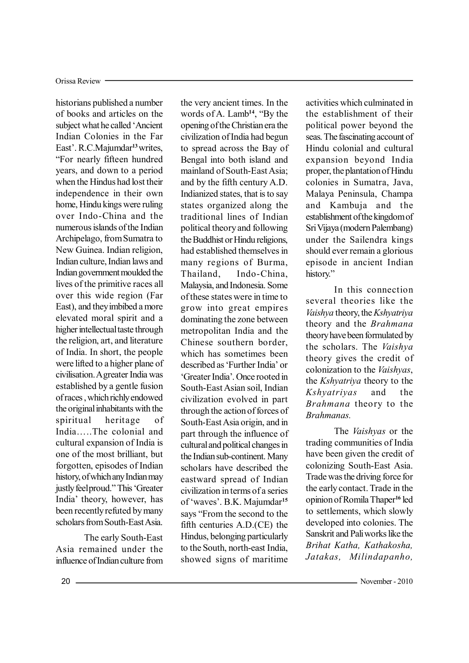historians published a number of books and articles on the subject what he called 'Ancient Indian Colonies in the Far East'. R.C.Majumdar<sup>13</sup> writes, ³For nearly fifteen hundred years, and down to a period when the Hindus had lost their independence in their own home, Hindu kings were ruling over Indo-China and the numerous islands of the Indian Archipelago, from Sumatra to New Guinea. Indian religion, Indian culture, Indian laws and Indian government moulded the lives of the primitive races all over this wide region (Far East), and they imbibed a more elevated moral spirit and a higher intellectual taste through the religion, art, and literature of India. In short, the people were lifted to a higher plane of civilisation. A greater India was established by a gentle fusion of races , which richly endowed the original inhabitants with the spiritual heritage of India.....The colonial and cultural expansion of India is one of the most brilliant, but forgotten, episodes of Indian history, of which any Indian may justly feel proud." This 'Greater India' theory, however, has been recently refuted by many scholars from South-East Asia.

The early South-East Asia remained under the influence of Indian culture from the very ancient times. In the words of A. Lamb<sup>14</sup>, "By the opening of the Christian era the civilization of India had begun to spread across the Bay of Bengal into both island and mainland of South-East Asia; and by the fifth century A.D. Indianized states, that is to say states organized along the traditional lines of Indian political theory and following the Buddhist or Hindu religions, had established themselves in many regions of Burma, Thailand, Indo-China, Malaysia, and Indonesia. Some of these states were in time to grow into great empires dominating the zone between metropolitan India and the Chinese southern border, which has sometimes been described as 'Further India' or µGreater India¶. Once rooted in South-East Asian soil, Indian civilization evolved in part through the action of forces of South-East Asia origin, and in part through the influence of cultural and political changes in the Indian sub-continent. Many scholars have described the eastward spread of Indian civilization in terms of a series of 'waves'. B.K. Majumdar<sup>15</sup> says "From the second to the fifth centuries A.D.(CE) the Hindus, belonging particularly to the South, north-east India, showed signs of maritime

activities which culminated in the establishment of their political power beyond the seas. The fascinating account of Hindu colonial and cultural expansion beyond India proper, the plantation of Hindu colonies in Sumatra, Java, Malaya Peninsula, Champa and Kambuja and the establishment of the kingdom of Sri Vijaya (modern Palembang) under the Sailendra kings should ever remain a glorious episode in ancient Indian history."

In this connection several theories like the *Vaishya* theory, the*Kshyatriya* theory and the *Brahmana* theory have been formulated by the scholars. The *Vaishya* theory gives the credit of colonization to the *Vaishyas*, the *Kshyatriya* theory to the *Kshyatriyas* and the *Brahmana* theory to the *Brahmanas.*

The *Vaishyas* or the trading communities of India have been given the credit of colonizing South-East Asia. Trade was the driving force for the early contact. Trade in the opinion of Romila Thaper**<sup>16</sup>** led to settlements, which slowly developed into colonies. The Sanskrit and Pali works like the *Brihat Katha, Kathakosha, Jatakas, Milindapanho,*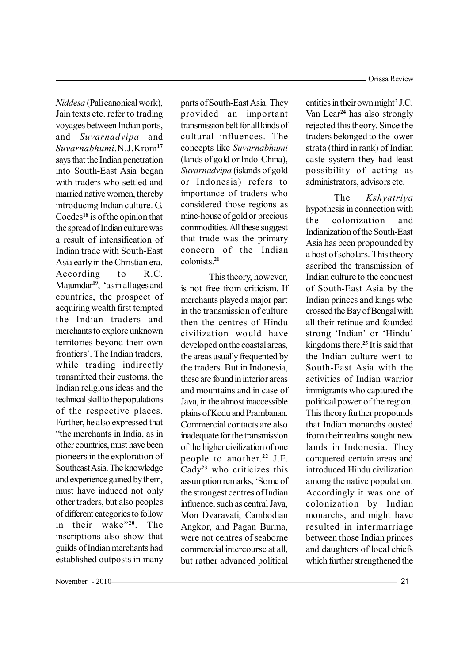*Niddesa* (Pali canonical work), Jain texts etc. refer to trading voyages between Indian ports, and *Suvarnadvipa* and *Suvarnabhumi*.N.J.Krom**<sup>17</sup>** says that the Indian penetration into South-East Asia began with traders who settled and married native women, thereby introducing Indian culture. G. Coedes**<sup>18</sup>** is of the opinion that the spread of Indian culture was a result of intensification of Indian trade with South-East Asia early in the Christian era. According to R.C. Majumdar<sup>19</sup>, 'as in all ages and countries, the prospect of acquiring wealth first tempted the Indian traders and merchants to explore unknown territories beyond their own frontiers' The Indian traders while trading indirectly transmitted their customs, the Indian religious ideas and the technical skill to the populations of the respective places. Further, he also expressed that "the merchants in India, as in other countries, must have been pioneers in the exploration of Southeast Asia. The knowledge and experience gained by them, must have induced not only other traders, but also peoples of different categories to follow in their wake"<sup>20</sup>. The inscriptions also show that guilds of Indian merchants had established outposts in many

parts of South-East Asia. They provided an important transmission belt for all kinds of cultural influences. The concepts like *Suvarnabhumi* (lands of gold or Indo-China), *Suvarnadvipa* (islands of gold or Indonesia) refers to importance of traders who considered those regions as mine-house of gold or precious commodities. All these suggest that trade was the primary concern of the Indian colonists.**<sup>21</sup>**

This theory, however, is not free from criticism. If merchants played a major part in the transmission of culture then the centres of Hindu civilization would have developed on the coastal areas, the areas usually frequented by the traders. But in Indonesia, these are found in interior areas and mountains and in case of Java, in the almost inaccessible plains of Kedu and Prambanan. Commercial contacts are also inadequate for the transmission of the higher civilization of one people to another.**<sup>22</sup>** J.F. Cady**<sup>23</sup>** who criticizes this assumption remarks, 'Some of the strongest centres of Indian influence, such as central Java, Mon Dvaravati, Cambodian Angkor, and Pagan Burma, were not centres of seaborne commercial intercourse at all, but rather advanced political entities in their own might' J.C. Van Lear**<sup>24</sup>** has also strongly rejected this theory. Since the traders belonged to the lower strata (third in rank) of Indian caste system they had least possibility of acting as administrators, advisors etc.

The *Kshyatriya* hypothesis in connection with the colonization and Indianization of the South-East Asia has been propounded by a host of scholars. This theory ascribed the transmission of Indian culture to the conquest of South-East Asia by the Indian princes and kings who crossed the Bay of Bengal with all their retinue and founded strong 'Indian' or 'Hindu' kingdoms there.**<sup>25</sup>** It is said that the Indian culture went to South-East Asia with the activities of Indian warrior immigrants who captured the political power of the region. This theory further propounds that Indian monarchs ousted from their realms sought new lands in Indonesia. They conquered certain areas and introduced Hindu civilization among the native population. Accordingly it was one of colonization by Indian monarchs, and might have resulted in intermarriage between those Indian princes and daughters of local chiefs which further strengthened the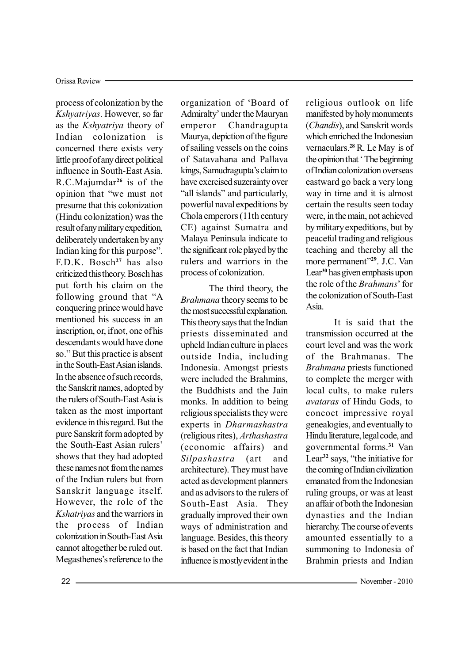process of colonization by the *Kshyatriyas*. However, so far as the *Kshyatriya* theory of Indian colonization is concerned there exists very little proof of any direct political influence in South-East Asia. R.C.Majumdar**<sup>26</sup>** is of the opinion that "we must not presume that this colonization (Hindu colonization) was the result of any military expedition, deliberately undertaken by any Indian king for this purpose´. F.D.K. Bosch**<sup>27</sup>** has also criticized this theory. Bosch has put forth his claim on the following ground that "A conquering prince would have mentioned his success in an inscription, or, if not, one of his descendants would have done so." But this practice is absent in the South-East Asian islands. In the absence of such records, the Sanskrit names, adopted by the rulers of South-East Asia is taken as the most important evidence in this regard. But the pure Sanskrit form adopted by the South-East Asian rulers' shows that they had adopted these names not from the names of the Indian rulers but from Sanskrit language itself. However, the role of the *Kshatriyas* and the warriors in the process of Indian colonization in South-East Asia cannot altogether be ruled out. Megasthenes's reference to the

organization of 'Board of Admiralty' under the Mauryan emperor Chandragupta Maurya, depiction of the figure of sailing vessels on the coins of Satavahana and Pallava kings, Samudragupta's claim to have exercised suzerainty over "all islands" and particularly, powerful naval expeditions by Chola emperors (11th century CE) against Sumatra and Malaya Peninsula indicate to the significant role played by the rulers and warriors in the process of colonization.

The third theory, the *Brahmana* theory seems to be the most successful explanation. This theory says that the Indian priests disseminated and upheld Indian culture in places outside India, including Indonesia. Amongst priests were included the Brahmins, the Buddhists and the Jain monks. In addition to being religious specialists they were experts in *Dharmashastra* (religious rites), *Arthashastra* (economic affairs) and *Silpashastra* (art and architecture). They must have acted as development planners and as advisors to the rulers of South-East Asia. They gradually improved their own ways of administration and language. Besides, this theory is based on the fact that Indian influence is mostly evident in the

religious outlook on life manifested by holy monuments (*Chandis*), and Sanskrit words which enriched the Indonesian vernaculars.**<sup>28</sup>** R. Le May is of the opinion that 'The beginning' of Indian colonization overseas eastward go back a very long way in time and it is almost certain the results seen today were, in the main, not achieved by military expeditions, but by peaceful trading and religious teaching and thereby all the more permanent"<sup>29</sup>. J.C. Van Lear**<sup>30</sup>** has given emphasis upon the role of the *Brahmans*' for the colonization of South-East Asia.

It is said that the transmission occurred at the court level and was the work of the Brahmanas. The *Brahmana* priests functioned to complete the merger with local cults, to make rulers *avataras* of Hindu Gods, to concoct impressive royal genealogies, and eventually to Hindu literature, legal code, and governmental forms.**<sup>31</sup>** Van Lear<sup>32</sup> says, "the initiative for the coming of Indian civilization emanated from the Indonesian ruling groups, or was at least an affair of both the Indonesian dynasties and the Indian hierarchy. The course of events amounted essentially to a summoning to Indonesia of Brahmin priests and Indian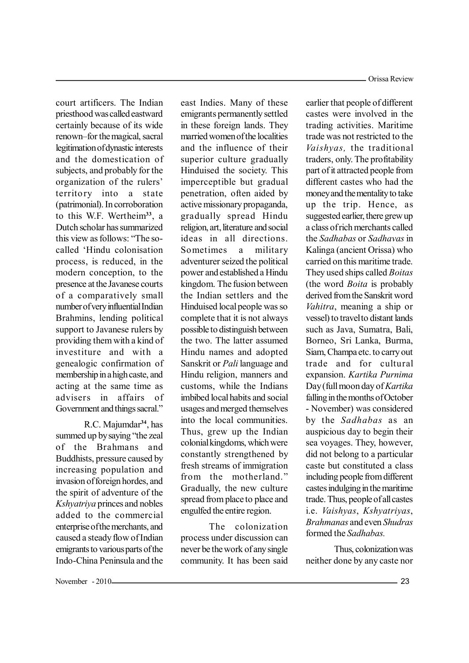court artificers. The Indian priesthood was called eastward certainly because of its wide renown-for the magical, sacral legitimation of dynastic interests and the domestication of subjects, and probably for the organization of the rulers' territory into a state (patrimonial). In corroboration to this W.F. Wertheim**<sup>33</sup>**, a Dutch scholar has summarized this view as follows: "The socalled 'Hindu colonisation process, is reduced, in the modern conception, to the presence at the Javanese courts of a comparatively small number of very influential Indian Brahmins, lending political support to Javanese rulers by providing them with a kind of investiture and with a genealogic confirmation of membership in a high caste, and acting at the same time as advisers in affairs of Government and things sacral."

R.C. Majumdar**<sup>34</sup>**, has summed up by saying "the zeal of the Brahmans and Buddhists, pressure caused by increasing population and invasion of foreign hordes, and the spirit of adventure of the *Kshyatriya* princes and nobles added to the commercial enterprise of the merchants, and caused a steady flow of Indian emigrants to various parts of the Indo-China Peninsula and the east Indies. Many of these emigrants permanently settled in these foreign lands. They married women of the localities and the influence of their superior culture gradually Hinduised the society. This imperceptible but gradual penetration, often aided by active missionary propaganda, gradually spread Hindu religion, art, literature and social ideas in all directions. Sometimes a military adventurer seized the political power and established a Hindu kingdom. The fusion between the Indian settlers and the Hinduised local people was so complete that it is not always possible to distinguish between the two. The latter assumed Hindu names and adopted Sanskrit or *Pali* language and Hindu religion, manners and customs, while the Indians imbibed local habits and social usages and merged themselves into the local communities. Thus, grew up the Indian colonial kingdoms, which were constantly strengthened by fresh streams of immigration from the motherland." Gradually, the new culture spread from place to place and engulfed the entire region.

The colonization process under discussion can never be the work of any single community. It has been said earlier that people of different castes were involved in the trading activities. Maritime trade was not restricted to the *Vaishyas,* the traditional traders, only. The profitability part of it attracted people from different castes who had the money and the mentality to take up the trip. Hence, as suggested earlier, there grew up a class of rich merchants called the *Sadhabas* or *Sadhavas*in Kalinga (ancient Orissa) who carried on this maritime trade. They used ships called *Boitas* (the word *Boita* is probably derived from the Sanskrit word *Vahitra*, meaning a ship or vessel) to travel to distant lands such as Java, Sumatra, Bali, Borneo, Sri Lanka, Burma, Siam, Champa etc. to carry out trade and for cultural expansion. *Kartika Purnima* Day (full moon day of*Kartika* falling in the months of October - November) was considered by the *Sadhabas* as an auspicious day to begin their sea voyages. They, however, did not belong to a particular caste but constituted a class including people from different castes indulging in the maritime trade. Thus, people of all castes i.e. *Vaishyas*, *Kshyatriyas*, *Brahmanas* and even *Shudras* formed the *Sadhabas.*

Thus, colonization was neither done by any caste nor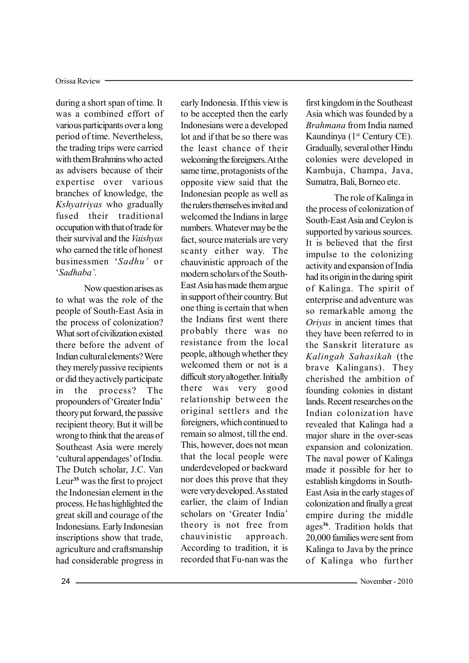during a short span of time. It was a combined effort of various participants over a long period of time. Nevertheless, the trading trips were carried with them Brahmins who acted as advisers because of their expertise over various branches of knowledge, the *Kshyatriyas* who gradually fused their traditional occupation with that of trade for their survival and the *Vaishyas* who earned the title of honest businessmen µ*Sadhu¶* or µ*Sadhaba¶.*

Now question arises as to what was the role of the people of South-East Asia in the process of colonization? What sort of civilization existed there before the advent of Indian cultural elements? Were they merely passive recipients or did they actively participate in the process? The propounders of 'Greater India' theory put forward, the passive recipient theory. But it will be wrong to think that the areas of Southeast Asia were merely 'cultural appendages' of India. The Dutch scholar, J.C. Van Leur**<sup>35</sup>** was the first to project the Indonesian element in the process. He has highlighted the great skill and courage of the Indonesians. Early Indonesian inscriptions show that trade, agriculture and craftsmanship had considerable progress in

early Indonesia. If this view is to be accepted then the early Indonesians were a developed lot and if that be so there was the least chance of their welcoming the foreigners. At the same time, protagonists of the opposite view said that the Indonesian people as well as the rulers themselves invited and welcomed the Indians in large numbers. Whatever may be the fact, source materials are very scanty either way. The chauvinistic approach of the modern scholars of the South-East Asia has made them argue in support of their country. But one thing is certain that when the Indians first went there probably there was no resistance from the local people, although whether they welcomed them or not is a difficult story altogether. Initially there was very good relationship between the original settlers and the foreigners, which continued to remain so almost, till the end. This, however, does not mean that the local people were underdeveloped or backward nor does this prove that they were very developed. As stated earlier, the claim of Indian scholars on 'Greater India' theory is not free from chauvinistic approach. According to tradition, it is recorded that Fu-nan was the first kingdom in the Southeast Asia which was founded by a *Brahmana* from India named Kaundinya  $(1<sup>st</sup> Century CE)$ . Gradually, several other Hindu colonies were developed in Kambuja, Champa, Java, Sumatra, Bali, Borneo etc.

The role of Kalinga in the process of colonization of South-East Asia and Ceylon is supported by various sources. It is believed that the first impulse to the colonizing activity and expansion of India had its origin in the daring spirit of Kalinga. The spirit of enterprise and adventure was so remarkable among the *Oriyas* in ancient times that they have been referred to in the Sanskrit literature as *Kalingah Sahasikah* (the brave Kalingans). They cherished the ambition of founding colonies in distant lands. Recent researches on the Indian colonization have revealed that Kalinga had a major share in the over-seas expansion and colonization. The naval power of Kalinga made it possible for her to establish kingdoms in South-East Asia in the early stages of colonization and finally a great empire during the middle ages**<sup>36</sup>**. Tradition holds that 20,000 families were sent from Kalinga to Java by the prince of Kalinga who further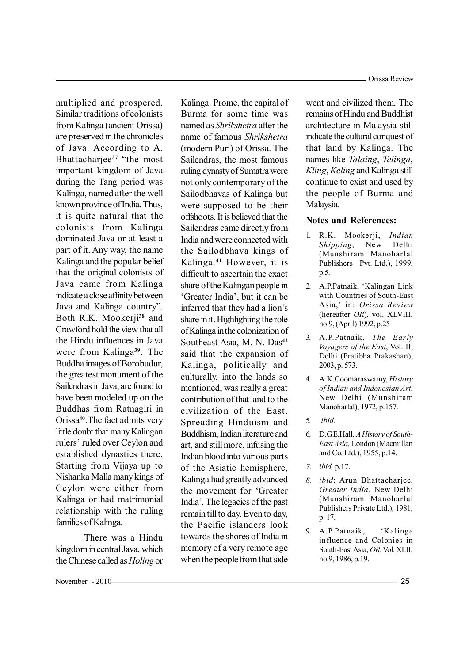multiplied and prospered. Similar traditions of colonists from Kalinga (ancient Orissa) are preserved in the chronicles of Java. According to A. Bhattacharjee<sup>37</sup> "the most important kingdom of Java during the Tang period was Kalinga, named after the well known province of India. Thus, it is quite natural that the colonists from Kalinga dominated Java or at least a part of it. Any way, the name Kalinga and the popular belief that the original colonists of Java came from Kalinga indicate a close affinity between Java and Kalinga country". Both R.K. Mookerji**<sup>38</sup>** and Crawford hold the view that all the Hindu influences in Java were from Kalinga**<sup>39</sup>**. The Buddha images of Borobudur, the greatest monument of the Sailendras in Java, are found to have been modeled up on the Buddhas from Ratnagiri in Orissa**<sup>40</sup>**.The fact admits very little doubt that many Kalingan rulers' ruled over Ceylon and established dynasties there. Starting from Vijaya up to Nishanka Malla many kings of Ceylon were either from Kalinga or had matrimonial relationship with the ruling families of Kalinga.

There was a Hindu kingdom in central Java, which the Chinese called as*Holing* or Kalinga. Prome, the capital of Burma for some time was named as *Shrikshetra* after the name of famous *Shrikshetra* (modern Puri) of Orissa. The Sailendras, the most famous ruling dynasty of Sumatra were not only contemporary of the Sailodbhavas of Kalinga but were supposed to be their offshoots. It is believed that the Sailendras came directly from India and were connected with the Sailodbhava kings of Kalinga.**<sup>41</sup>** However, it is difficult to ascertain the exact share of the Kalingan people in 'Greater India', but it can be inferred that they had a lion's share in it. Highlighting the role of Kalinga in the colonization of Southeast Asia, M. N. Das**<sup>42</sup>** said that the expansion of Kalinga, politically and culturally, into the lands so mentioned, was really a great contribution of that land to the civilization of the East. Spreading Hinduism and Buddhism, Indian literature and art, and still more, infusing the Indian blood into various parts of the Asiatic hemisphere, Kalinga had greatly advanced the movement for 'Greater India¶. The legacies of the past remain till to day. Even to day, the Pacific islanders look towards the shores of India in memory of a very remote age when the people from that side

went and civilized them. The remains of Hindu and Buddhist architecture in Malaysia still indicate the cultural conquest of that land by Kalinga. The names like *Talaing*, *Telinga*, *Kling*, *Keling* and Kalinga still continue to exist and used by the people of Burma and Malaysia.

# **Notes and References:**

- 1. R.K. Mookerji, *Indian Shipping*, New Delhi (Munshiram Manoharlal Publishers Pvt. Ltd.), 1999, p.5.
- 2. A.P.Patnaik, 'Kalingan Link with Countries of South-East Asia,¶ in: *Orissa Review* (hereafter *OR*)*,* vol. XLVIII, no.9, (April) 1992, p.25
- 3. A.P.Patnaik, *The Early Voyagers of the East*, Vol. II, Delhi (Pratibha Prakashan), 2003, p. 573.
- 4. A.K.Coomaraswamy, *History of Indian and Indonesian Art*, New Delhi (Munshiram Manoharlal), 1972, p.157.
- 5. *ibid.*
- 6. D.G.E.Hall, *A History of South-East Asia,* London (Macmillan and Co. Ltd.), 1955, p.14.
- *7. ibid,* p.17.
- *8. ibid*; Arun Bhattacharjee, *Greater India*, New Delhi (Munshiram Manoharlal Publishers Private Ltd.), 1981, p. 17.
- 9. A.P.Patnaik, 'Kalinga influence and Colonies in South-East Asia, *OR*, Vol. XLII, no.9, 1986, p.19.